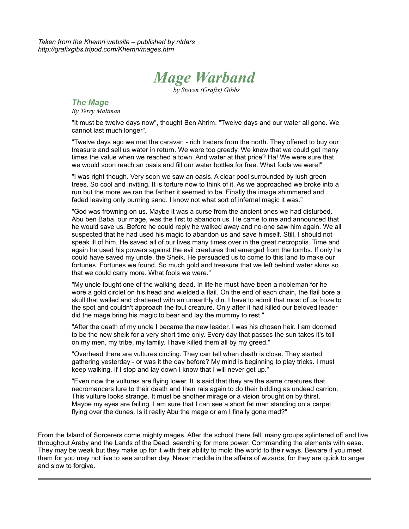*Taken from the Khemri website – published by ntdars http://grafixgibs.tripod.com/Khemri/mages.htm*



*by Steven (Grafix) Gibbs*

# *The Mage*

*By Terry Maltman*

"It must be twelve days now", thought Ben Ahrim. "Twelve days and our water all gone. We cannot last much longer".

"Twelve days ago we met the caravan - rich traders from the north. They offered to buy our treasure and sell us water in return. We were too greedy. We knew that we could get many times the value when we reached a town. And water at that price? Ha! We were sure that we would soon reach an oasis and fill our water bottles for free. What fools we were!"

"I was right though. Very soon we saw an oasis. A clear pool surrounded by lush green trees. So cool and inviting. It is torture now to think of it. As we approached we broke into a run but the more we ran the farther it seemed to be. Finally the image shimmered and faded leaving only burning sand. I know not what sort of infernal magic it was."

"God was frowning on us. Maybe it was a curse from the ancient ones we had disturbed. Abu ben Baba, our mage, was the first to abandon us. He came to me and announced that he would save us. Before he could reply he walked away and no-one saw him again. We all suspected that he had used his magic to abandon us and save himself. Still, I should not speak ill of him. He saved all of our lives many times over in the great necropolis. Time and again he used his powers against the evil creatures that emerged from the tombs. If only he could have saved my uncle, the Sheik. He persuaded us to come to this land to make our fortunes. Fortunes we found. So much gold and treasure that we left behind water skins so that we could carry more. What fools we were."

"My uncle fought one of the walking dead. In life he must have been a nobleman for he wore a gold circlet on his head and wielded a flail. On the end of each chain, the flail bore a skull that wailed and chattered with an unearthly din. I have to admit that most of us froze to the spot and couldn't approach the foul creature. Only after it had killed our beloved leader did the mage bring his magic to bear and lay the mummy to rest."

"After the death of my uncle I became the new leader. I was his chosen heir. I am doomed to be the new sheik for a very short time only. Every day that passes the sun takes it's toll on my men, my tribe, my family. I have killed them all by my greed."

"Overhead there are vultures circling. They can tell when death is close. They started gathering yesterday - or was it the day before? My mind is beginning to play tricks. I must keep walking. If I stop and lay down I know that I will never get up."

"Even now the vultures are flying lower. It is said that they are the same creatures that necromancers lure to their death and then rais again to do their bidding as undead carrion. This vulture looks strange. It must be another mirage or a vision brought on by thirst. Maybe my eyes are failing. I am sure that I can see a short fat man standing on a carpet flying over the dunes. Is it really Abu the mage or am I finally gone mad?"

From the Island of Sorcerers come mighty mages. After the school there fell, many groups splintered off and live throughout Araby and the Lands of the Dead, searching for more power. Commanding the elements with ease. They may be weak but they make up for it with their ability to mold the world to their ways. Beware if you meet them for you may not live to see another day. Never meddle in the affairs of wizards, for they are quick to anger and slow to forgive.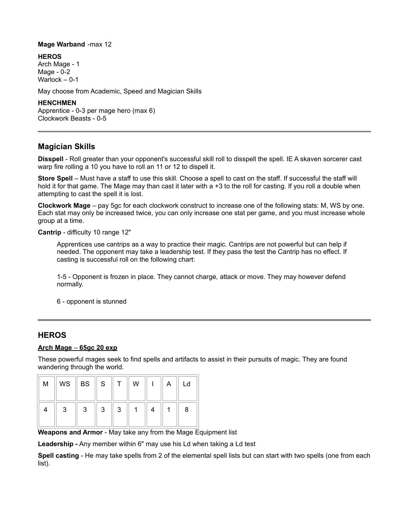#### **Mage Warband** -max 12

**HEROS**

Arch Mage - 1 Mage - 0-2 Warlock – 0-1

May choose from Academic, Speed and Magician Skills

### **HENCHMEN**

Apprentice - 0-3 per mage hero (max 6) Clockwork Beasts - 0-5

# **Magician Skills**

**Disspell** - Roll greater than your opponent's successful skill roll to disspell the spell. IE A skaven sorcerer cast warp fire rolling a 10 you have to roll an 11 or 12 to dispell it.

**Store Spell** – Must have a staff to use this skill. Choose a spell to cast on the staff. If successful the staff will hold it for that game. The Mage may than cast it later with a +3 to the roll for casting. If you roll a double when attempting to cast the spell it is lost.

**Clockwork Mage** – pay 5gc for each clockwork construct to increase one of the following stats: M, WS by one. Each stat may only be increased twice, you can only increase one stat per game, and you must increase whole group at a time.

**Cantrip** - difficulty 10 range 12"

Apprentices use cantrips as a way to practice their magic. Cantrips are not powerful but can help if needed. The opponent may take a leadership test. If they pass the test the Cantrip has no effect. If casting is successful roll on the following chart:

1-5 - Opponent is frozen in place. They cannot charge, attack or move. They may however defend normally.

6 - opponent is stunned

# **HEROS**

#### **Arch Mage** – **65gc 20 exp**

These powerful mages seek to find spells and artifacts to assist in their pursuits of magic. They are found wandering through the world.

| M | WS | BS | S |   | W |  | Ld |
|---|----|----|---|---|---|--|----|
|   | 3  | 3  | 3 | 3 |   |  | 8  |

**Weapons and Armor** - May take any from the Mage Equipment list

**Leadership -** Any member within 6" may use his Ld when taking a Ld test

**Spell casting** - He may take spells from 2 of the elemental spell lists but can start with two spells (one from each list).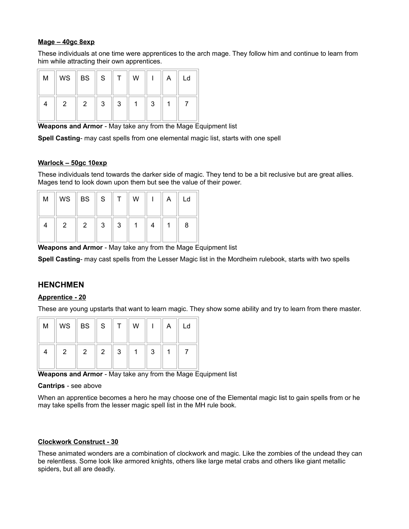### **Mage – 40gc 8exp**

These individuals at one time were apprentices to the arch mage. They follow him and continue to learn from him while attracting their own apprentices.

| M | WS $\ $ BS $\ $ S |   |   | W |   | Ld |
|---|-------------------|---|---|---|---|----|
|   | 2                 | 3 | 3 |   | 3 |    |

**Weapons and Armor** - May take any from the Mage Equipment list

**Spell Casting**- may cast spells from one elemental magic list, starts with one spell

### **Warlock – 50gc 10exp**

These individuals tend towards the darker side of magic. They tend to be a bit reclusive but are great allies. Mages tend to look down upon them but see the value of their power.

| M |   | WS $\parallel$ BS $\parallel$ S |   |   | W | A | Ld |
|---|---|---------------------------------|---|---|---|---|----|
|   | o | 2                               | ર | 3 |   |   | 8  |

**Weapons and Armor** - May take any from the Mage Equipment list

**Spell Casting**- may cast spells from the Lesser Magic list in the Mordheim rulebook, starts with two spells

## **HENCHMEN**

### **Apprentice - 20**

These are young upstarts that want to learn magic. They show some ability and try to learn from there master.

| M | $WS \parallel BS \parallel S$ |   |   | W |   | Ld |
|---|-------------------------------|---|---|---|---|----|
|   | 2                             | 2 | 3 |   | ຊ |    |

**Weapons and Armor** - May take any from the Mage Equipment list

#### **Cantrips** - see above

When an apprentice becomes a hero he may choose one of the Elemental magic list to gain spells from or he may take spells from the lesser magic spell list in the MH rule book.

### **Clockwork Construct - 30**

These animated wonders are a combination of clockwork and magic. Like the zombies of the undead they can be relentless. Some look like armored knights, others like large metal crabs and others like giant metallic spiders, but all are deadly.